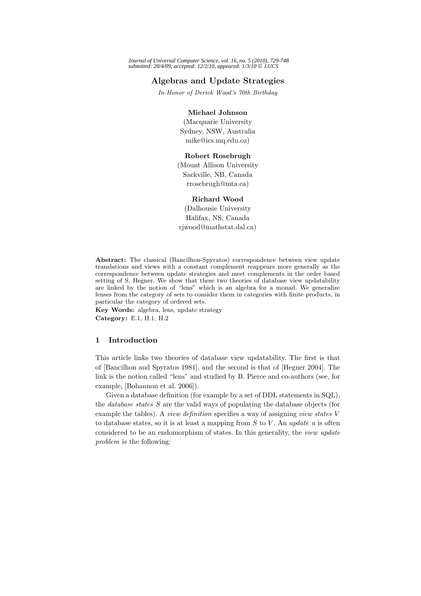# **Algebras and Update Strategies**

*In Honor of Derick Wood's 70th Birthday*

#### **Michael Johnson**

(Macquarie University Sydney, NSW, Australia mike@ics.mq.edu.oz)

#### **Robert Rosebrugh**

(Mount Allison University Sackville, NB, Canada rrosebrugh@mta.ca)

### **Richard Wood**

(Dalhousie University Halifax, NS, Canada rjwood@mathstat.dal.ca)

**Abstract:** The classical (Bancilhon-Spyratos) correspondence between view update translations and views with a constant complement reappears more generally as the correspondence between update strategies and meet complements in the order based setting of S. Hegner. We show that these two theories of database view updatability are linked by the notion of "lens" which is an algebra for a monad. We generalize lenses from the category of sets to consider them in categories with finite products, in particular the category of ordered sets.

**Key Words:** algebra, lens, update strategy **Category:** E.1, H.1, H.2

### **1 Introduction**

This article links two theories of database view updatability. The first is that of [Bancilhon and Spyratos 1981], and the second is that of [Hegner 2004]. The link is the notion called "lens" and studied by B. Pierce and co-authors (see, for example, [Bohannon et al. 2006]).

Given a database definition (for example by a set of DDL statements in SQL), the *database states* S are the valid ways of populating the database objects (for example the tables). A *view definition* specifies a way of assigning *view states* V to database states, so it is at least a mapping from S to V . An *update* u is often considered to be an endomorphism of states. In this generality, the *view update problem* is the following: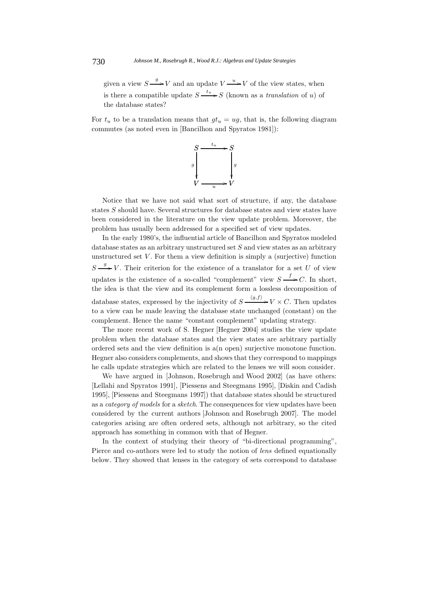given a view  $S \longrightarrow V$  and an update  $V \longrightarrow V$  of the view states, when is there a compatible update  $S \xrightarrow{u} S$  (known as a *translation* of u) of<br>the database states? the database states?

For  $t<sub>u</sub>$  to be a translation means that  $gt<sub>u</sub> = ug$ , that is, the following diagram commutes (as noted even in [Bancilhon and Spyratos 1981]):



Notice that we have not said what sort of structure, if any, the database states  $S$  should have. Several structures for database states and view states have been considered in the literature on the view update problem. Moreover, the problem has usually been addressed for a specified set of view updates.

In the early 1980's, the influential article of Bancilhon and Spyratos modeled database states as an arbitrary unstructured set S and view states as an arbitrary unstructured set  $V$ . For them a view definition is simply a (surjective) function  $S \longrightarrow V$ . Their criterion for the existence of a translator for a set U of view updates is the existence of a so-called "complement" view  $S \xrightarrow{\rightarrow} C$ . In short, the idea is that the view and its complement form a lossless decomposition of database states, expressed by the injectivity of  $S \xrightarrow{(g,f)} V \times C$ . Then updates to a view can be made leaving the database state unchanged (constant) on the complement. Hence the name "constant complement" updating strategy.

The more recent work of S. Hegner [Hegner 2004] studies the view update problem when the database states and the view states are arbitrary partially ordered sets and the view definition is a(n open) surjective monotone function. Hegner also considers complements, and shows that they correspond to mappings he calls update strategies which are related to the lenses we will soon consider.

We have argued in [Johnson, Rosebrugh and Wood 2002] (as have others: [Lellahi and Spyratos 1991], [Piessens and Steegmans 1995], [Diskin and Cadish 1995], [Piessens and Steegmans 1997]) that database states should be structured as a *category of models* for a *sketch*. The consequences for view updates have been considered by the current authors [Johnson and Rosebrugh 2007]. The model categories arising are often ordered sets, although not arbitrary, so the cited approach has something in common with that of Hegner.

In the context of studying their theory of "bi-directional programming", Pierce and co-authors were led to study the notion of *lens* defined equationally below. They showed that lenses in the category of sets correspond to database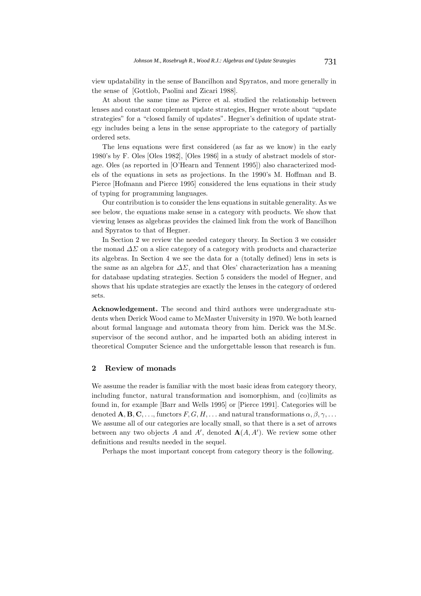view updatability in the sense of Bancilhon and Spyratos, and more generally in the sense of [Gottlob, Paolini and Zicari 1988].

At about the same time as Pierce et al. studied the relationship between lenses and constant complement update strategies, Hegner wrote about "update strategies" for a "closed family of updates". Hegner's definition of update strategy includes being a lens in the sense appropriate to the category of partially ordered sets.

The lens equations were first considered (as far as we know) in the early 1980's by F. Oles [Oles 1982], [Oles 1986] in a study of abstract models of storage. Oles (as reported in [O'Hearn and Tennent 1995]) also characterized models of the equations in sets as projections. In the 1990's M. Hoffman and B. Pierce [Hofmann and Pierce 1995] considered the lens equations in their study of typing for programming languages.

Our contribution is to consider the lens equations in suitable generality. As we see below, the equations make sense in a category with products. We show that viewing lenses as algebras provides the claimed link from the work of Bancilhon and Spyratos to that of Hegner.

In Section 2 we review the needed category theory. In Section 3 we consider the monad  $\Delta\Sigma$  on a slice category of a category with products and characterize its algebras. In Section 4 we see the data for a (totally defined) lens in sets is the same as an algebra for  $\Delta\Sigma$ , and that Oles' characterization has a meaning for database updating strategies. Section 5 considers the model of Hegner, and shows that his update strategies are exactly the lenses in the category of ordered sets.

**Acknowledgement.** The second and third authors were undergraduate students when Derick Wood came to McMaster University in 1970. We both learned about formal language and automata theory from him. Derick was the M.Sc. supervisor of the second author, and he imparted both an abiding interest in theoretical Computer Science and the unforgettable lesson that research is fun.

### **2 Review of monads**

We assume the reader is familiar with the most basic ideas from category theory, including functor, natural transformation and isomorphism, and (co)limits as found in, for example [Barr and Wells 1995] or [Pierce 1991]. Categories will be denoted  $\mathbf{A}, \mathbf{B}, \mathbf{C}, \ldots$ , functors  $F, G, H, \ldots$  and natural transformations  $\alpha, \beta, \gamma, \ldots$ We assume all of our categories are locally small, so that there is a set of arrows between any two objects A and A', denoted  $\mathbf{A}(A, A')$ . We review some other definitions and results needed in the sequel.

Perhaps the most important concept from category theory is the following.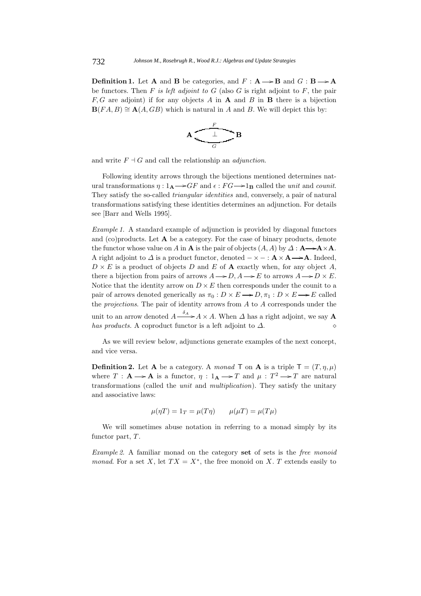**Definition 1.** Let **A** and **B** be categories, and  $F : \mathbf{A} \longrightarrow \mathbf{B}$  and  $G : \mathbf{B} \longrightarrow \mathbf{A}$ be functors. Then  $F$  *is left adjoint to*  $G$  (also  $G$  is right adjoint to  $F$ , the pair  $F, G$  are adjoint) if for any objects A in **A** and B in **B** there is a bijection  $\mathbf{B}(FA, B) \cong \mathbf{A}(A, GB)$  which is natural in A and B. We will depict this by:



and write  $F \dashv G$  and call the relationship an *adjunction*.

Following identity arrows through the bijections mentioned determines natural transformations  $\eta : 1_A \rightarrow GF$  and  $\epsilon : FG \rightarrow 1_B$  called the *unit* and *counit*.<br>They estisfy the se called triangular identities and conversely a pair of patural They satisfy the so-called *triangular identities* and, conversely, a pair of natural transformations satisfying these identities determines an adjunction. For details see [Barr and Wells 1995].

*Example 1.* A standard example of adjunction is provided by diagonal functors and (co)products. Let **A** be a category. For the case of binary products, denote the functor whose value on A in **A** is the pair of objects  $(A, A)$  by  $\Delta : \mathbf{A} \rightarrow \mathbf{A} \times \mathbf{A}$ . A right adjoint to  $\Delta$  is a product functor, denoted  $-\times$  – :  $\mathbf{A} \times \mathbf{A} \longrightarrow \mathbf{A}$ . Indeed,  $D \times E$  is a product of objects D and E of **A** exactly when, for any object A, there a bijection from pairs of arrows  $A \rightarrow D$ ,  $A \rightarrow E$  to arrows  $A \rightarrow D \times E$ .<br>Notice that the identity arrow on  $D \times E$  then corresponds under the sounit to a Notice that the identity arrow on  $D \times E$  then corresponds under the counit to a pair of arrows denoted generically as  $\pi_0 : D \times E \longrightarrow D, \pi_1 : D \times E \longrightarrow E$  called<br>the argumentary. The pair of identity arrows from A to A corresponds under the the *projections*. The pair of identity arrows from A to A corresponds under the unit to an arrow denoted  $A \xrightarrow{\sigma_A} A \times A$ . When  $\Delta$  has a right adjoint, we say **A** *has products.* A coproduct functor is a left adjoint to  $\Delta$ .

As we will review below, adjunctions generate examples of the next concept, and vice versa.

**Definition 2.** Let **A** be a category. A *monad* **T** on **A** is a triple  $T = (T, \eta, \mu)$ where  $T : \mathbf{A} \to \mathbf{A}$  is a functor,  $\eta : \mathbf{1}_{\mathbf{A}} \to T$  and  $\mu : T^2 \to T$  are natural<br>transformations (solled the unit and multiplication). They satisfy the unitary transformations (called the *unit* and *multiplication*). They satisfy the unitary and associative laws:

$$
\mu(\eta T) = 1_T = \mu(T\eta) \qquad \mu(\mu T) = \mu(T\mu)
$$

We will sometimes abuse notation in referring to a monad simply by its functor part,  $T$ .

*Example 2.* A familiar monad on the category **set** of sets is the *free monoid monad*. For a set X, let  $TX = X^*$ , the free monoid on X. T extends easily to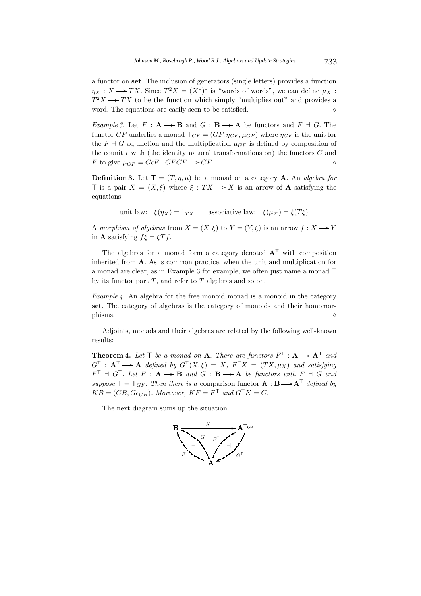a functor on **set**. The inclusion of generators (single letters) provides a function  $\eta_X : X \longrightarrow TX$ . Since  $T^2 X = (X^*)^*$  is "words of words", we can define  $\mu_X : T^2 Y \longrightarrow TX$  to be the function which simply "multiplies out" and provides a  $T^2X \longrightarrow TX$  to be the function which simply "multiplies out" and provides a word. The equations are equily seen to be satisfied word. The equations are easily seen to be satisfied.

*Example 3.* Let  $F : \mathbf{A} \to \mathbf{B}$  and  $G : \mathbf{B} \to \mathbf{A}$  be functors and  $F \dashv G$ . The functor  $GF$  underlies a managed  $\mathbf{F} = (GF \circ g, \dots)$  where  $g$  is the unit for functor  $GF$  underlies a monad  $T_{GF} = (GF, \eta_{GF}, \mu_{GF})$  where  $\eta_{GF}$  is the unit for the  $F \dashv G$  adjunction and the multiplication  $\mu_{GF}$  is defined by composition of the counit  $\epsilon$  with (the identity natural transformations on) the functors G and F to give  $\mu_{GF} = G \epsilon F : GFGF \rightarrow GF$ . F to give  $\mu_{GF} = G\epsilon F : GFGF \longrightarrow$  $GF.$ 

**Definition 3.** Let  $T = (T, \eta, \mu)$  be a monad on a category **A**. An *algebra for* T is a pair  $X = (X, \xi)$  where  $\xi : TX \longrightarrow X$  is an arrow of **A** satisfying the equations:

unit law:  $\xi(\eta_X) = 1_{TX}$  associative law:  $\xi(\mu_X) = \xi(T\xi)$ 

A *morphism of algebras* from  $X = (X, \xi)$  to  $Y = (Y, \zeta)$  is an arrow  $f : X \longrightarrow Y$ in **A** satisfying  $f\xi = \zeta T f$ .

The algebras for a monad form a category denoted  $A<sup>T</sup>$  with composition inherited from **A**. As is common practice, when the unit and multiplication for a monad are clear, as in Example 3 for example, we often just name a monad T by its functor part  $T$ , and refer to  $T$  algebras and so on.

*Example 4.* An algebra for the free monoid monad is a monoid in the category **set**. The category of algebras is the category of monoids and their homomor- $\phi$  phisms.

Adjoints, monads and their algebras are related by the following well-known results:

**Theorem 4.** Let  $T$  be a monad on  $A$ . There are functors  $F^T : A \rightarrow A^T$  and  $G^T : A^T \rightarrow A$  defined by  $G^T(X, \zeta) = X \cdot F^T X = (TX, \zeta)$  and estimated  $G^{\mathsf{T}}$  :  $\mathbf{A}^{\mathsf{T}} \longrightarrow \mathbf{A}$  *defined by*  $G^{\mathsf{T}}(X, \xi) = X$ ,  $F^{\mathsf{T}}X = (TX, \mu_X)$  and satisfying  $F^{\mathsf{T}} + G^{\mathsf{T}}$ . Let  $F : \mathbf{A} \longrightarrow \mathbf{B}$  and  $G : \mathbf{B} \longrightarrow \mathbf{A}$  be functors with  $F \dashv G$  and <br>generate  $\mathbf{F} - \mathbf{T} = T$  . Then there is a companison functor  $K : \mathbf{B} \longrightarrow \Lambda^{\mathsf{T}}$  defined by  $suppose \mathsf{T} = \mathsf{T}_{GF}.$  Then there is a comparison functor  $K : \mathbf{B} \longrightarrow \mathbf{A}^{\mathsf{T}}$  defined by<br> $\mathbf{K} \mathbf{B} = (CP,C_{\epsilon})$ . Moreover,  $\mathbf{K} \mathbf{F} = \mathbf{F}^{\mathsf{T}}$  and  $C^{\mathsf{T}} \mathbf{K} = C$ .  $KB = (GB, G\epsilon_{GB})$ *. Moreover,*  $KF = F<sup>T</sup>$  and  $G<sup>T</sup>K = G$ *.* 

The next diagram sums up the situation

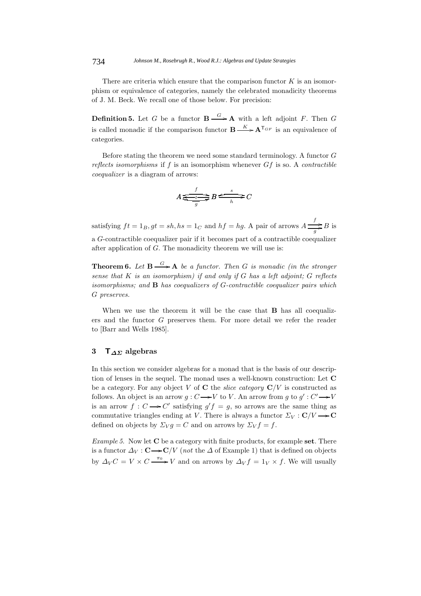There are criteria which ensure that the comparison functor  $K$  is an isomorphism or equivalence of categories, namely the celebrated monadicity theorems of J. M. Beck. We recall one of those below. For precision:

**Definition 5.** Let G be a functor  $\mathbf{B} \xrightarrow{\mathbf{G}} \mathbf{A}$  with a left adjoint F. Then G is called monadic if the comparison functor  $\mathbf{B} \xrightarrow{K} \mathbf{A}^{T_{GF}}$  is an equivalence of categories.

Before stating the theorem we need some standard terminology. A functor G *reflects isomorphisms* if f is an isomorphism whenever Gf is so. A *contractible coequalizer* is a diagram of arrows:

$$
A \xrightarrow{f} B \xrightarrow{s} C
$$

satisfying  $ft = 1_B, gt = sh, hs = 1_C$  and  $hf = hg$ . A pair of arrows  $A \frac{f}{g} B$  is <sup>a</sup> G-contractible coequalizer pair if it becomes part of a contractible coequalizer after application of G. The monadicity theorem we will use is:

**Theorem 6.** Let  $B \xrightarrow{G} A$  be a functor. Then G is monadic (in the stronger *sense that* K *is an isomorphism) if and only if* G *has a left adjoint;* G *reflects isomorphisms; and* **<sup>B</sup>** *has coequalizers of* G*-contractible coequalizer pairs which* G *preserves.*

When we use the theorem it will be the case that **B** has all coequalizers and the functor G preserves them. For more detail we refer the reader to [Barr and Wells 1985].

## **3 T***ΔΣ* **algebras**

In this section we consider algebras for a monad that is the basis of our description of lenses in the sequel. The monad uses a well-known construction: Let **C** be a category. For any object V of C the *slice category*  $C/V$  is constructed as follows. An object is an arrow  $g: C \rightarrow V$  to V. An arrow from g to  $g': C' \rightarrow$ is an arrow  $f : C \to C'$  satisfying  $g'f = g$ , so arrows are the same thing as commutative triangles ending at V. There is always a functor  $\Sigma_V : \mathbf{C}/V \longrightarrow \mathbf{C}$ <br>defined an objects by  $\Sigma_{\mathbf{C}} \subset C$  and an amounc by  $\Sigma_{\mathbf{C}} f = f$ defined on objects by  $\Sigma_{V} g = C$  and on arrows by  $\Sigma_{V} f = f$ .

*Example 5.* Now let **C** be a category with finite products, for example **set**. There is a functor  $\Delta_V : \mathbf{C} \longrightarrow \mathbf{C}/V$  (*not* the  $\Delta$  of Example 1) that is defined on objects by  $\Delta_V C = V \times C \xrightarrow{\pi_0} V$  and on arrows by  $\Delta_V f = 1_V \times f$ . We will usually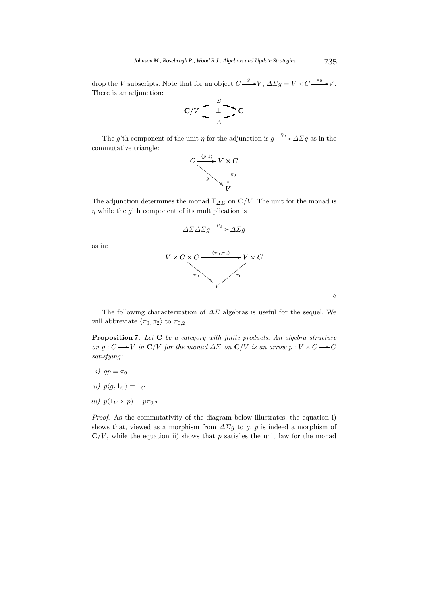drop the V subscripts. Note that for an object  $C \longrightarrow V$ ,  $\Delta \Sigma g = V \times C \longrightarrow V$ .<br>There is an ediunation. There is an adjunction:

$$
C/V \frac{\sum\limits_{\Delta} C}{\sum\limits_{\Delta} C}
$$

The g'th component of the unit  $\eta$  for the adjunction is  $g \rightarrow \Delta \Sigma g$  as in the commutative triangle:



The adjunction determines the monad  $T_{\Delta\Sigma}$  on  $\mathbf{C}/V$ . The unit for the monad is a while the a<sup>th</sup> component of its multiplication is  $\eta$  while the g'th component of its multiplication is

$$
\Delta \Sigma \Delta \Sigma g \xrightarrow{\mu_g} \Delta \Sigma g
$$

as in:



 $\Diamond$ 

The following characterization of  $\Delta\Sigma$  algebras is useful for the sequel. We will abbreviate  $\langle \pi_0, \pi_2 \rangle$  to  $\pi_{0,2}$ .

**Proposition 7.** *Let* **C** *be a category with finite products. An algebra structure on*  $g: C \longrightarrow V$  *in*  $C/V$  *for the monad*  $\Delta\Sigma$  *on*  $C/V$  *is an arrow*  $p: V \times C \longrightarrow C$ *satisfying:*

- *i)*  $gp = \pi_0$
- *ii*)  $p\langle q, 1_C \rangle = 1_C$
- *iii*)  $p(1_V \times p) = p\pi_{0,2}$

*Proof.* As the commutativity of the diagram below illustrates, the equation i) shows that, viewed as a morphism from  $\Delta \Sigma g$  to g, p is indeed a morphism of  $\mathbf{C}/V$ , while the equation ii) shows that p satisfies the unit law for the monad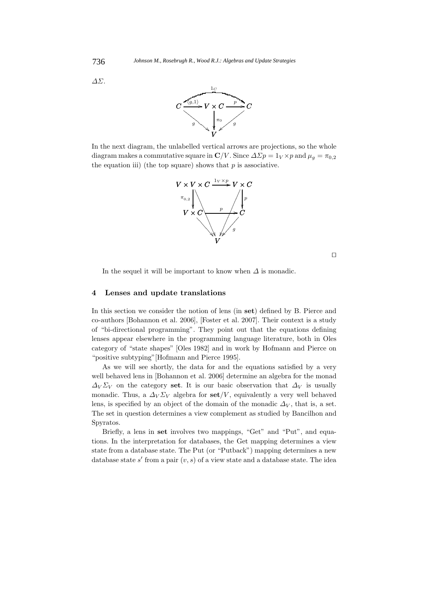



In the next diagram, the unlabelled vertical arrows are projections, so the whole diagram makes a commutative square in  $\mathbb{C}/V$ . Since  $\Delta \Sigma p = 1_V \times p$  and  $\mu_q = \pi_{0,2}$ the equation iii) (the top square) shows that  $p$  is associative.



 $\Box$ 

In the sequel it will be important to know when  $\Delta$  is monadic.

### **4 Lenses and update translations**

In this section we consider the notion of lens (in **set**) defined by B. Pierce and co-authors [Bohannon et al. 2006], [Foster et al. 2007]. Their context is a study of "bi-directional programming". They point out that the equations defining lenses appear elsewhere in the programming language literature, both in Oles category of "state shapes" [Oles 1982] and in work by Hofmann and Pierce on "positive subtyping"[Hofmann and Pierce 1995].

As we will see shortly, the data for and the equations satisfied by a very well behaved lens in [Bohannon et al. 2006] determine an algebra for the monad  $\Delta_V \Sigma_V$  on the category set. It is our basic observation that  $\Delta_V$  is usually monadic. Thus, a  $\Delta_V \Sigma_V$  algebra for set/V, equivalently a very well behaved lens, is specified by an object of the domain of the monadic  $\Delta_V$ , that is, a set. The set in question determines a view complement as studied by Bancilhon and Spyratos.

Briefly, a lens in **set** involves two mappings, "Get" and "Put", and equations. In the interpretation for databases, the Get mapping determines a view state from a database state. The Put (or "Putback") mapping determines a new database state s' from a pair  $(v, s)$  of a view state and a database state. The idea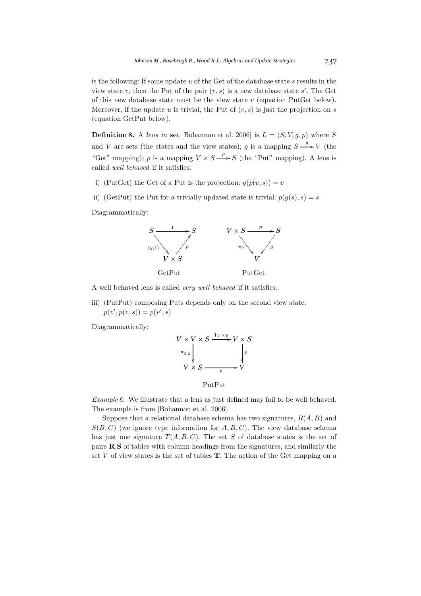is the following: If some update  $u$  of the Get of the database state  $s$  results in the view state v, then the Put of the pair  $(v, s)$  is a new database state s'. The Get<br>of this new database state must be the view state v (equation PutCet below) of this new database state must be the view state  $v$  (equation PutGet below). Moreover, if the update u is trivial, the Put of  $(v, s)$  is just the projection on s (equation GetPut below).

**Definition 8.** A *lens in* **set** [Bohannon et al. 2006] is  $L = (S, V, g, p)$  where S and V are sets (the states and the view states); g is a mapping  $S \xrightarrow{g} V$  (the "Get" mapping); p is a mapping  $V \times S \longrightarrow S$  (the "Put" mapping). A lens is called and labored if it existence called *well behaved* if it satisfies:

- i) (PutGet) the Get of a Put is the projection:  $g(p(v, s)) = v$
- ii) (GetPut) the Put for a trivially updated state is trivial:  $p(g(s), s) = s$

Diagrammatically:



A well behaved lens is called *very well behaved* if it satisfies:

iii) (PutPut) composing Puts depends only on the second view state:  $p(v', p(v, s)) = p(v', s)$ 

Diagrammatically:

$$
V \times V \times S \xrightarrow{1_V \times p} V \times S
$$
  
\n
$$
\pi_{0,2} \downarrow \qquad \qquad \downarrow p
$$
  
\n
$$
V \times S \xrightarrow{p} V
$$

PutPut

*Example 6.* We illustrate that a lens as just defined may fail to be well behaved. The example is from [Bohannon et al. 2006].

Suppose that a relational database schema has two signatures,  $R(A, B)$  and  $S(B, C)$  (we ignore type information for  $A, B, C$ ). The view database schema has just one signature  $T(A, B, C)$ . The set S of database states is the set of pairs **R**,**S** of tables with column headings from the signatures, and similarly the set V of view states is the set of tables **<sup>T</sup>**. The action of the Get mapping on a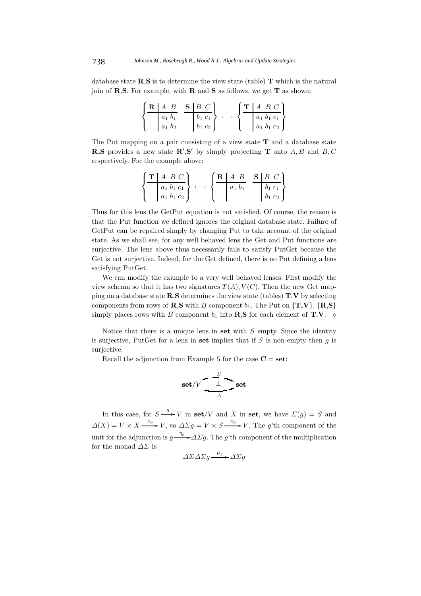database state **R**,**S** is to determine the view state (table) **T** which is the natural join of **R**,**S**. For example, with **R** and **S** as follows, we get **T** as shown:

$$
\left\{\n \begin{array}{c|c}\n R & A & B \\
\hline\n a_1 & b_1 \\
 a_1 & b_2\n \end{array}\n \quad\n \begin{array}{c}\n S & B & C \\
 \hline\n b_1 & c_1 \\
 b_1 & c_2\n \end{array}\n \right\}\n \longrightarrow\n \left\{\n \begin{array}{c}\n \text{T} & A & B & C \\
 \hline\n a_1 & b_1 & c_1 \\
 a_1 & b_1 & c_2\n \end{array}\n \right\}
$$

The Put mapping on a pair consisting of a view state **T** and a database state **R,S** provides a new state  $\mathbb{R}'$ , **S**<sup>*'*</sup> by simply projecting **T** onto  $A, B$  and  $B, C$  representingly For the example shows respectively. For the example above:

$$
\left\{\frac{\mathbf{T}\left|\begin{array}{cc}A & B & C \\ a_1 & b_1 & c_1 \\ a_1 & b_1 & c_2\end{array}\right|}{a_1b_1c_2}\right\}\,\longmapsto\,\left\{\frac{\mathbf{R}\left|\begin{array}{cc}A & B & \mathbf{S}\left|\begin{array}{cc}B & C \\ a_1 & b_1\end{array}\right|}{a_1b_1} & \begin{array}{cc}b_1 & c_1 \\ b_1 & c_2\end{array}\right| \right\}
$$

Thus for this lens the GetPut equation is not satisfied. Of course, the reason is that the Put function we defined ignores the original database state. Failure of GetPut can be repaired simply by changing Put to take account of the original state. As we shall see, for any well behaved lens the Get and Put functions are surjective. The lens above thus necessarily fails to satisfy PutGet because the Get is not surjective. Indeed, for the Get defined, there is no Put defining a lens satisfying PutGet.

We can modify the example to a very well behaved lenses. First modify the view schema so that it has two signatures  $T(A), V(C)$ . Then the new Get mapping on a database state **R**,**S** determines the view state (tables) **T**,**V** by selecting components from rows of **R**,**S** with B component  $b_1$ . The Put on  $\{T, V\}$ ,  $\{R, S\}$ simply places rows with B component  $b_1$  into **R**,**S** for each element of **T**,**V**.  $\diamond$ 

Notice that there is a unique lens in **set** with S empty. Since the identity is surjective, PutGet for a lens in set implies that if  $S$  is non-empty then  $g$  is surjective.

Recall the adjunction from Example 5 for the case  $C = set$ :

$$
\text{set}/V \xrightarrow{\frac{\sum_{\Delta}^{}}{\Delta}} \text{set}
$$

In this case, for  $S \xrightarrow{g} V$  in  $\mathbf{set}/V$  and X in set, we have  $\Sigma(g) = S$  and  $\Delta(X) = V \times X \xrightarrow{\pi_0} V$ , so  $\Delta \Sigma g = V \times S \xrightarrow{\pi_0} V$ . The g'th component of the unit for the adjunction is  $g \rightarrow \Delta \Sigma g$ . The g'th component of the multiplication for the moned  $\Lambda \Sigma$  is for the monad  $\Delta\Sigma$  is

$$
\Delta \Sigma \Delta \Sigma g \xrightarrow{\mu_g} \Delta \Sigma g
$$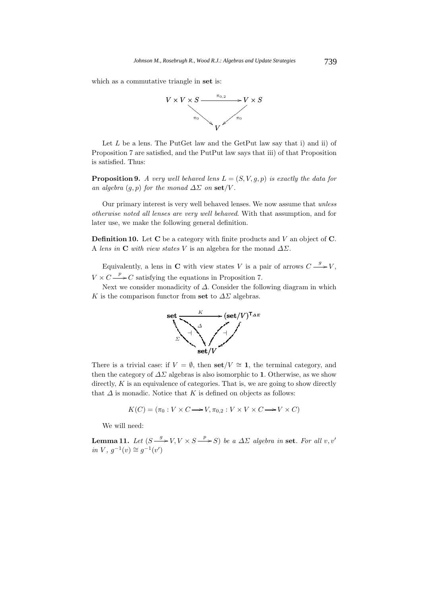which as a commutative triangle in **set** is:



Let  $L$  be a lens. The PutGet law and the GetPut law say that i) and ii) of Proposition 7 are satisfied, and the PutPut law says that iii) of that Proposition is satisfied. Thus:

**Proposition 9.** *A very well behaved lens*  $L = (S, V, g, p)$  *is exactly the data for an algebra*  $(q, p)$  *for the monad*  $\Delta \Sigma$  *on* **set**/V.

Our primary interest is very well behaved lenses. We now assume that *unless otherwise noted all lenses are very well behaved*. With that assumption, and for later use, we make the following general definition.

**Definition 10.** Let **<sup>C</sup>** be a category with finite products and V an object of **<sup>C</sup>**. A *lens in* **C** *with view states* V is an algebra for the monad  $\Delta \Sigma$ .

Equivalently, a lens in **C** with view states V is a pair of arrows  $C \xrightarrow{\rho} V$ ,  $V \times C \longrightarrow C$  satisfying the equations in Proposition 7.<br>Nort we consider managlisity of A Consider the foll

Next we consider monadicity of  $\Delta$ . Consider the following diagram in which K is the comparison functor from set to  $\Delta\Sigma$  algebras.



There is a trivial case: if  $V = \emptyset$ , then **set**/ $V \cong 1$ , the terminal category, and then the category of  $\Delta\Sigma$  algebras is also isomorphic to 1. Otherwise, as we show directly,  $K$  is an equivalence of categories. That is, we are going to show directly that  $\Delta$  is monadic. Notice that K is defined on objects as follows:

$$
K(C) = (\pi_0 : V \times C \longrightarrow V, \pi_{0,2} : V \times V \times C \longrightarrow V \times C)
$$

We will need:

**Lemma 11.** Let  $(S \xrightarrow{g} V, V \times S \xrightarrow{p} S)$  be a  $\Delta \Sigma$  algebra in set. For all v, v' *in V*,  $g^{-1}(v) \cong g^{-1}(v')$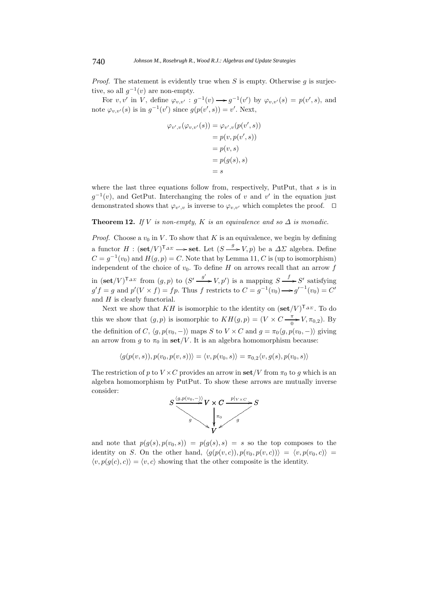*Proof.* The statement is evidently true when  $S$  is empty. Otherwise  $g$  is surjective, so all  $q^{-1}(v)$  are non-empty.

For  $v, v'$  in V, define  $\varphi_{v,v'} : g^{-1}(v) \longrightarrow g^{-1}(v')$  by  $\varphi_{v,v'}(s) = p(v', s)$ , and note  $\varphi_{v,v'}(s)$  is in  $g^{-1}(v')$  since  $g(p(v', s)) = v'$ . Next,

$$
\varphi_{v',v}(\varphi_{v,v'}(s)) = \varphi_{v',v}(p(v',s))
$$

$$
= p(v, p(v',s))
$$

$$
= p(v,s)
$$

$$
= p(g(s),s)
$$

$$
= s
$$

where the last three equations follow from, respectively, PutPut, that  $s$  is in  $g^{-1}(v)$ , and GetPut. Interchanging the roles of v and v' in the equation just demonstrated shows that  $\varphi_{v',v}$  is inverse to  $\varphi_{v,v'}$  which completes the proof.  $\Box$ 

# **Theorem 12.** *If V is non-empty, K is an equivalence and so*  $\Delta$  *is monadic.*

*Proof.* Choose a  $v_0$  in V. To show that K is an equivalence, we begin by defining a functor  $H : (\text{set}/V)^{T_{\Delta\Sigma}} \longrightarrow \text{set.}$  Let  $(S \xrightarrow{g} V, p)$  be a  $\Delta\Sigma$  algebra. Define  $C = g^{-1}(v_0)$  and  $H(g, p) = C$ . Note that by Lemma 11, C is (up to isomorphism) independent of the choice of  $v_0$ . To define H on arrows recall that an arrow f in  $(\text{set}/V)^{\mathsf{T}_{\Delta\Sigma}}$  from  $(g, p)$  to  $(S' \xrightarrow{g'} V, p')$  is a mapping  $S \xrightarrow{f} S'$  satisfying  $S' \xrightarrow{f} S'$  and  $S'(V \times f) = f \times S'$  satisfying  $g'f = g$  and  $p'(V \times f) = fp$ . Thus f restricts to  $C = g^{-1}(v_0) \longrightarrow g'^{-1}(v_0) = C'$ and  $H$  is clearly functorial.

Next we show that KH is isomorphic to the identity on  $(\text{set}/V)^{\text{T}_{\Delta\Sigma}}$ . To do this we show that  $(g, p)$  is isomorphic to  $KH(g, p) = (V \times C \frac{\pi}{0} V, \pi_{0,2})$ . By the definition of C,  $\langle q, p(v_0, -) \rangle$  maps S to  $V \times C$  and  $q = \pi_0 \langle q, p(v_0, -) \rangle$  giving an arrow from g to  $\pi_0$  in **set**/V. It is an algebra homomorphism because:

$$
\langle g(p(v,s)), p(v_0, p(v,s)) \rangle = \langle v, p(v_0, s) \rangle = \pi_{0,2} \langle v, g(s), p(v_0, s) \rangle
$$

The restriction of p to  $V \times C$  provides an arrow in  $\text{set}/V$  from  $\pi_0$  to g which is an algebra homomorphism by PutPut. To show these arrows are mutually inverse consider:



j. and note that  $p(g(s), p(v_0, s)) = p(g(s), s) = s$  so the top composes to the identity on S. On the other hand  $\langle g(g(s), s) \rangle = s$  so the top composes to the identity on S. On the other hand,  $\langle g(p(v, c)), p(v_0, p(v, c)) \rangle = \langle v, p(v_0, c) \rangle =$  $\langle v, p(g(c), c) \rangle = \langle v, c \rangle$  showing that the other composite is the identity.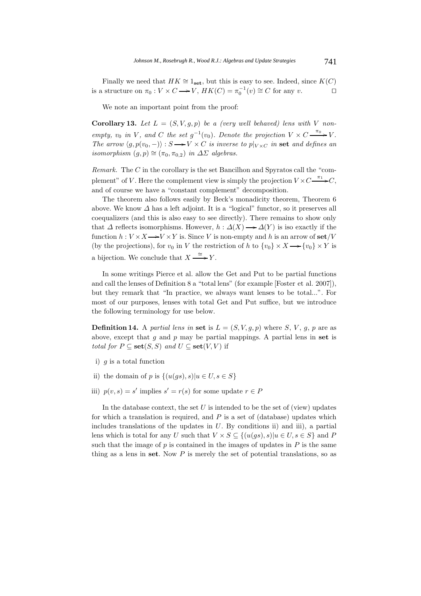Finally we need that  $HK \cong 1_{\text{set}}$ , but this is easy to see. Indeed, since  $K(C)$ <br>a structure on  $\pi_0: V \times C \longrightarrow V$ ,  $HK(C) = \pi_0^{-1}(v) \cong C$  for any v. □ is a structure on  $\pi_0 : V \times C \longrightarrow V$ ,  $HK(C) = \pi_0^{-1}(v) \cong C$  for any  $v$ .

We note an important point from the proof:

**Corollary 13.** Let  $L = (S, V, g, p)$  be a (very well behaved) lens with V non*empty,*  $v_0$  *in* V, and C the set  $g^{-1}(v_0)$ . Denote the projection  $V \times C \xrightarrow{\pi_0} V$ .<br>The group  $\{g, g(v_0, \ldots)\}\times S \to V \times C$  is inverse to plan in get and defines an *The arrow*  $\langle g, p(v_0, -) \rangle : S \longrightarrow V \times C$  *is inverse to*  $p|_{V \times C}$  *in* **set** *and defines an isomorphism*  $(a, n) \cong (\pi, \pi)$  *in*  $\Lambda \Sigma$  *closimore isomorphism*  $(g, p) \cong (\pi_0, \pi_{0,2})$  *in*  $\Delta\Sigma$  *algebras.* 

*Remark.* The C in the corollary is the set Bancilhon and Spyratos call the "complement" of V. Here the complement view is simply the projection  $V \times C \xrightarrow{\pi_1} C$ , and of course we have a "constant complement" decomposition.

The theorem also follows easily by Beck's monadicity theorem, Theorem 6 above. We know  $\Delta$  has a left adjoint. It is a "logical" functor, so it preserves all coequalizers (and this is also easy to see directly). There remains to show only that  $\Delta$  reflects isomorphisms. However,  $h : \Delta(X) \longrightarrow \Delta(Y)$  is iso exactly if the function  $h : V \times Y \longrightarrow V \times V$  is Since  $V$  is non-empty and his an amount fact  $W$ function  $h: V \times X \longrightarrow V \times Y$  is. Since V is non-empty and h is an arrow of  $\textbf{set}/V$ <br>(by the prejectional for v in V the protriction of h to  $\{u_1\} \times Y$  ,  $\{u_2\} \times Y$  is (by the projections), for  $v_0$  in V the restriction of h to  $\{v_0\} \times X \longrightarrow \{v_0\} \times Y$  is a bijection. We conclude that  $X \stackrel{\cong}{\longrightarrow}$ Y.

In some writings Pierce et al. allow the Get and Put to be partial functions and call the lenses of Definition 8 a "total lens" (for example [Foster et al. 2007]), but they remark that "In practice, we always want lenses to be total...". For most of our purposes, lenses with total Get and Put suffice, but we introduce the following terminology for use below.

**Definition 14.** A *partial lens in* set is  $L = (S, V, g, p)$  where S, V, g, p are as above, except that g and p may be partial mappings. A partial lens in **set** is *total for*  $P \subseteq \textbf{set}(S, S)$  *and*  $U \subseteq \textbf{set}(V, V)$  if

- i)  $q$  is a total function
- ii) the domain of p is  $\{(u(qs), s)|u \in U, s \in S\}$
- iii)  $p(v, s) = s'$  implies  $s' = r(s)$  for some update  $r \in P$

In the database context, the set  $U$  is intended to be the set of (view) updates for which a translation is required, and  $P$  is a set of (database) updates which includes translations of the updates in  $U$ . By conditions ii) and iii), a partial lens which is total for any U such that  $V \times S \subseteq \{(u(gs), s)|u \in U, s \in S\}$  and P such that the image of  $p$  is contained in the images of updates in  $P$  is the same thing as a lens in **set**. Now P is merely the set of potential translations, so as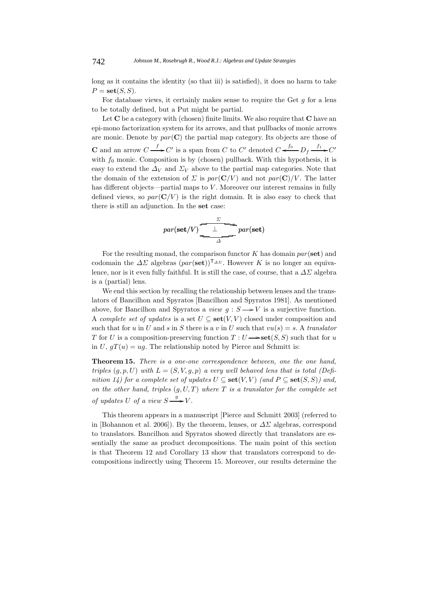long as it contains the identity (so that iii) is satisfied), it does no harm to take  $P = \mathbf{set}(S, S)$ .

For database views, it certainly makes sense to require the Get  $g$  for a lens to be totally defined, but a Put might be partial.

Let **C** be a category with (chosen) finite limits. We also require that **C** have an epi-mono factorization system for its arrows, and that pullbacks of monic arrows are monic. Denote by  $par(\mathbf{C})$  the partial map category. Its objects are those of **C** and an arrow  $C \xrightarrow{f} C'$  is a span from C to C' denoted  $C \xleftarrow{f_0} D_f \xrightarrow{f_1} C'$ with  $f_0$  monic. Composition is by (chosen) pullback. With this hypothesis, it is easy to extend the  $\Delta_V$  and  $\Sigma_V$  above to the partial map categories. Note that the domain of the extension of  $\Sigma$  is  $par(\mathbf{C}/V)$  and not  $par(\mathbf{C})/V$ . The latter has different objects—partial maps to V. Moreover our interest remains in fully defined views, so  $par(C/V)$  is the right domain. It is also easy to check that there is still an adjunction. In the **set** case:

$$
par(\mathbf{set}/V) \xrightarrow[\Delta]{\text{for (set)}}
$$

For the resulting monad, the comparison functor K has domain par(**set**) and codomain the  $\Delta\Sigma$  algebras  $\left(\text{par}(\text{set})\right)^{\mathsf{T}_{\Delta\Sigma}}$ . However K is no longer an equivalence, nor is it even fully faithful. It is still the case, of course, that a  $\Delta\Sigma$  algebra is a (partial) lens.

We end this section by recalling the relationship between lenses and the translators of Bancilhon and Spyratos [Bancilhon and Spyratos 1981]. As mentioned above, for Bancilhon and Spyratos a *view*  $g : S \longrightarrow V$  is a surjective function. A *complete set of updates* is a set  $U \subseteq \textbf{set}(V, V)$  closed under composition and such that for u in U and s in S there is a v in U such that  $vu(s) = s$ . A *translator* T for U is a composition-preserving function  $T: U \longrightarrow \textbf{set}(S, S)$  such that for u<br>in  $U_{\alpha}T(u) = ue$ . The relationship poted by Pierce and Schmitt is: in U,  $gT(u) = ug$ . The relationship noted by Pierce and Schmitt is:

**Theorem 15.** *There is a one-one correspondence between, one the one hand, triples*  $(g, p, U)$  *with*  $L = (S, V, g, p)$  *a very well behaved lens that is total (Definition 14) for a complete set of updates*  $U \subseteq \textbf{set}(V, V)$  *(and*  $P \subseteq \textbf{set}(S, S)$ *) and, on the other hand, triples*  $(g, U, T)$  *where*  $T$  *is a translator for the complete set of updates* U *of a view*  $S \longrightarrow V$ *.* 

This theorem appears in a manuscript [Pierce and Schmitt 2003] (referred to in [Bohannon et al. 2006]). By the theorem, lenses, or  $\Delta\Sigma$  algebras, correspond to translators. Bancilhon and Spyratos showed directly that translators are essentially the same as product decompositions. The main point of this section is that Theorem 12 and Corollary 13 show that translators correspond to decompositions indirectly using Theorem 15. Moreover, our results determine the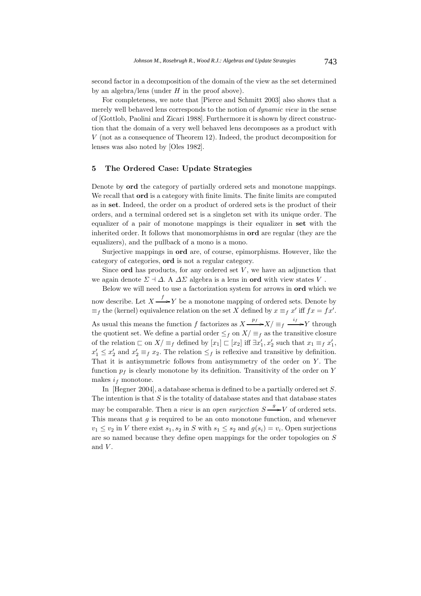second factor in a decomposition of the domain of the view as the set determined by an algebra/lens (under  $H$  in the proof above).

For completeness, we note that [Pierce and Schmitt 2003] also shows that a merely well behaved lens corresponds to the notion of *dynamic view* in the sense of [Gottlob, Paolini and Zicari 1988]. Furthermore it is shown by direct construction that the domain of a very well behaved lens decomposes as a product with V (not as a consequence of Theorem 12). Indeed, the product decomposition for lenses was also noted by [Oles 1982].

#### **5 The Ordered Case: Update Strategies**

Denote by **ord** the category of partially ordered sets and monotone mappings. We recall that **ord** is a category with finite limits. The finite limits are computed as in **set**. Indeed, the order on a product of ordered sets is the product of their orders, and a terminal ordered set is a singleton set with its unique order. The equalizer of a pair of monotone mappings is their equalizer in **set** with the inherited order. It follows that monomorphisms in **ord** are regular (they are the equalizers), and the pullback of a mono is a mono.

Surjective mappings in **ord** are, of course, epimorphisms. However, like the category of categories, **ord** is not a regular category.

Since  $\mathbf{ord}$  has products, for any ordered set V, we have an adjunction that we again denote  $\Sigma \dashv \Delta$ . A  $\Delta \Sigma$  algebra is a lens in **ord** with view states V.

Below we will need to use a factorization system for arrows in **ord** which we now describe. Let  $X \xrightarrow{f} Y$  be a monotone mapping of ordered sets. Denote by<br>  $f(x) = f(x)$  (lemel) equivalence relation on the set Y defined by  $x = x'$  if  $f(x) = f(x)$  $\equiv_f$  the (kernel) equivalence relation on the set X defined by  $x \equiv_f x'$  iff  $fx = fx'.$ As usual this means the function f factorizes as  $X \xrightarrow{f} X/\equiv_f \xrightarrow{f} Y$  through<br>the quotient set. We define a partial order  $\leq$  on  $Y/\equiv$  or the transitive algune the quotient set. We define a partial order  $\leq_f$  on  $X/\equiv_f$  as the transitive closure of the relation  $\Box$  on  $X/\equiv_f$  defined by  $[x_1] \Box [x_2]$  iff  $\exists x'_1, x'_2$  such that  $x_1 \equiv_f x'_1$ ,<br>  $x' \leq x'$  and  $x' = x$ . The relation  $\leq$  is reflective and transitive by definition  $x'_1 \leq x'_2$  and  $x'_2 \equiv_f x_2$ . The relation  $\leq_f$  is reflexive and transitive by definition.<br>That it is antisymmetric follows from antisymmetry of the order on Y. The That it is antisymmetric follows from antisymmetry of the order on  $Y$ . The function  $p_f$  is clearly monotone by its definition. Transitivity of the order on Y makes  $i_f$  monotone.

In [Hegner 2004], a database schema is defined to be a partially ordered set S. The intention is that  $S$  is the totality of database states and that database states may be comparable. Then a *view* is an *open surjection*  $S \rightarrow V$  of ordered sets.<br>This means that a is required to be an ontain monotone function, and whenever This means that  $q$  is required to be an onto monotone function, and whenever  $v_1 \le v_2$  in V there exist  $s_1, s_2$  in S with  $s_1 \le s_2$  and  $g(s_i) = v_i$ . Open surjections are so named because they define open mappings for the order topologies on S and  $V$ .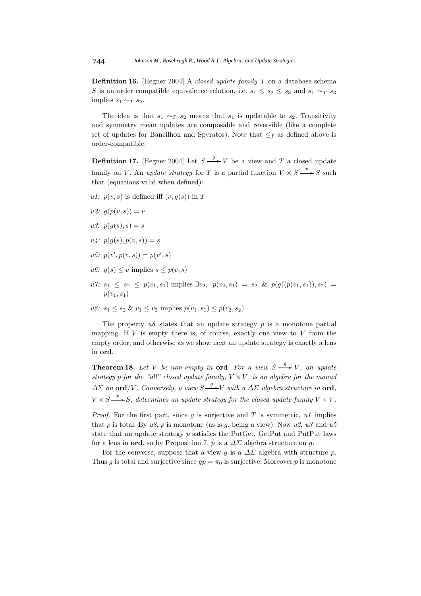**Definition 16.** [Hegner 2004] A *closed update family* T on a database schema S is an order compatible equivalence relation, i.e.  $s_1 \leq s_2 \leq s_3$  and  $s_1 \sim_T s_3$ implies  $s_1 \sim_T s_2$ .

The idea is that  $s_1 \sim_T s_2$  means that  $s_1$  is updatable to  $s_2$ . Transitivity and symmetry mean updates are composable and reversible (like a complete set of updates for Bancilhon and Spyratos). Note that  $\leq_f$  as defined above is order-compatible.

**Definition 17.** [Hegner 2004] Let  $S \xrightarrow{g} V$  be a view and T a closed update family on *V*. An *update strategy* for *T* is a partial function  $V \times S \xrightarrow{P} S$  such that (equations valid when defined). that (equations valid when defined):

- *u1:*  $p(v, s)$  is defined iff  $(v, q(s))$  in T
- *u2:*  $q(p(v, s)) = v$
- *u3:*  $p(g(s), s) = s$
- $u_4: p(q(s), p(v, s)) = s$
- $u5: p(v', p(v, s)) = p(v', s)$
- *u6:*  $q(s) \leq v$  implies  $s \leq p(v, s)$
- $u7: s_1 \leq s_2 \leq p(v_1, s_1)$  implies  $\exists v_2, p(v_2, s_1) = s_2 \& p(g((p(v_1, s_1)), s_2)) =$  $p(v_1, s_1)$
- *u8:*  $s_1 \leq s_2 \& \nu_1 \leq \nu_2$  implies  $p(v_1, s_1) \leq p(v_2, s_2)$

The property  $u\delta$  states that an update strategy  $p$  is a monotone partial mapping. If  $V$  is empty there is, of course, exactly one view to  $V$  from the empty order, and otherwise as we show next an update strategy is exactly a lens in **ord**.

**Theorem 18.** Let V be non-empty in **ord**. For a view  $S \xrightarrow{g} V$ , an update *strategy* p *for the "all" closed update family,*  $V \times V$ *, is an algebra for the monad*  $\Delta\Sigma$  *on* **ord**/*V. Conversely, a view*  $S \longrightarrow V$  *with a*  $\Delta\Sigma$  *algebra structure in* **ord**,  $V \times S \longrightarrow S$ , determines an update strategy for the closed update family  $V \times V$ .

*Proof.* For the first part, since  $g$  is surjective and  $T$  is symmetric,  $u1$  implies that p is total. By  $u8$ , p is monotone (as is q, being a view). Now  $u2$ ,  $u3$  and  $u5$ state that an update strategy  $p$  satisfies the PutGet, GetPut and PutPut laws for a lens in **ord**, so by Proposition 7, p is a  $\Delta\Sigma$  algebra structure on g.

For the converse, suppose that a view g is a  $\Delta\Sigma$  algebra with structure p. Thus g is total and surjective since  $qp = \pi_0$  is surjective. Moreover p is monotone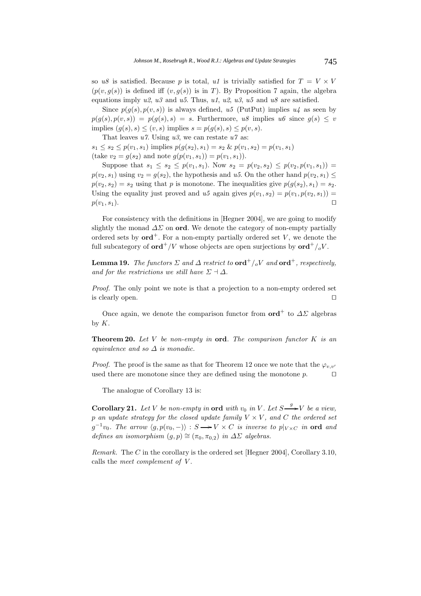so  $u8$  is satisfied. Because p is total,  $u1$  is trivially satisfied for  $T = V \times V$  $(p(v, q(s))$  is defined iff  $(v, q(s))$  is in T). By Proposition 7 again, the algebra equations imply *u2*, *u3* and *u5*. Thus, *u1*, *u2*, *u3*, *u5* and *u8* are satisfied.

Since  $p(g(s), p(v, s))$  is always defined,  $u5$  (PutPut) implies  $u4$  as seen by  $p(g(s), p(v, s)) = p(g(s), s) = s$ . Furthermore,  $u\delta$  implies  $u\delta$  since  $g(s) \leq v$ implies  $(q(s), s) \leq (v, s)$  implies  $s = p(q(s), s) \leq p(v, s)$ .

That leaves *u7*. Using *u3*, we can restate *u7* as:

 $s_1 \leq s_2 \leq p(v_1, s_1)$  implies  $p(g(s_2), s_1) = s_2 \& p(v_1, s_2) = p(v_1, s_1)$ (take  $v_2 = g(s_2)$  and note  $g(p(v_1, s_1)) = p(v_1, s_1)$ ).

Suppose that  $s_1 \leq s_2 \leq p(v_1, s_1)$ . Now  $s_2 = p(v_2, s_2) \leq p(v_2, p(v_1, s_1))$  $p(v_2, s_1)$  using  $v_2 = g(s_2)$ , the hypothesis and *u5*. On the other hand  $p(v_2, s_1) \leq$  $p(v_2, s_2) = s_2$  using that p is monotone. The inequalities give  $p(g(s_2), s_1) = s_2$ . Using the equality just proved and  $u5$  again gives  $p(v_1, s_2) = p(v_1, p(v_2, s_1)) = p(v_1, s_1)$ .  $p(v_1, s_1).$ 

For consistency with the definitions in [Hegner 2004], we are going to modify slightly the monad  $\Delta\Sigma$  on **ord**. We denote the category of non-empty partially ordered sets by  $\text{ord}^+$ . For a non-empty partially ordered set V, we denote the full subcategory of **ord**<sup>+</sup>/V whose objects are open surjections by  $\text{ord}^+/_oV$ .

**Lemma 19.** *The functors*  $\Sigma$  *and*  $\Delta$  *restrict to* **ord**<sup>+</sup>/<sub>o</sub>V *and* **ord**<sup>+</sup>, *respectively, and for the restrictions we still have*  $\Sigma \dashv \Delta$ *.* 

*Proof.* The only point we note is that a projection to a non-empty ordered set is clearly open. 

Once again, we denote the comparison functor from  $\text{ord}^+$  to  $\Delta\Sigma$  algebras by  $K$ .

**Theorem 20.** *Let* V *be non-empty in* **ord***. The comparison functor* K *is an equivalence and so* Δ *is monadic.*

*Proof.* The proof is the same as that for Theorem 12 once we note that the  $\varphi_{v,v'}$ used there are monotone since they are defined using the monotone  $p$ .  $\Box$ 

The analogue of Corollary 13 is:

**Corollary 21.** Let V be non-empty in **ord** with  $v_0$  in V. Let  $S \xrightarrow{g} V$  be a view, p an update strategy for the closed update family  $V \times V$ , and C the ordered set  $g^{-1}v_0$ . The arrow  $\langle g, p(v_0, -) \rangle : S \longrightarrow V \times C$  *is inverse to*  $p|_{V \times C}$  *in* ord *and*<br>defines an isomorphism  $(a, n) \approx (\pi, \pi, \cdot)$  in AV clasheses *defines an isomorphism*  $(g, p) \cong (\pi_0, \pi_{0,2})$  *in*  $\Delta\Sigma$  *algebras.* 

*Remark.* The C in the corollary is the ordered set [Hegner 2004], Corollary 3.10, calls the *meet complement of* V .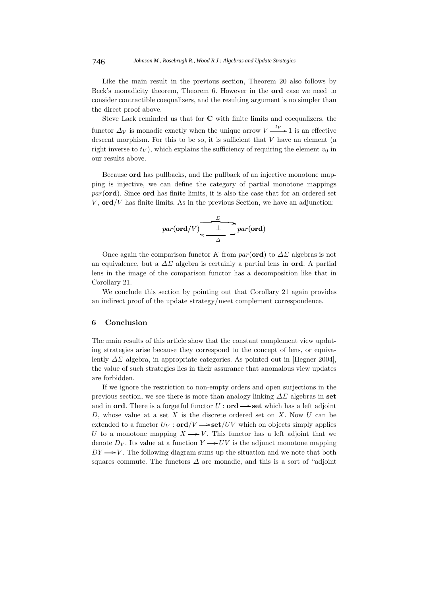Like the main result in the previous section, Theorem 20 also follows by Beck's monadicity theorem, Theorem 6. However in the **ord** case we need to consider contractible coequalizers, and the resulting argument is no simpler than the direct proof above.

Steve Lack reminded us that for **C** with finite limits and coequalizers, the functor  $\Delta_V$  is monadic exactly when the unique arrow  $V \xrightarrow{ev} 1$  is an effective<br>descent morphism. For this to be so, it is sufficient that V have an element (e descent morphism. For this to be so, it is sufficient that  $V$  have an element (a right inverse to  $t_V$ ), which explains the sufficiency of requiring the element  $v_0$  in our results above.

Because **ord** has pullbacks, and the pullback of an injective monotone mapping is injective, we can define the category of partial monotone mappings par(**ord**). Since **ord** has finite limits, it is also the case that for an ordered set  $V$ ,  $\text{ord}/V$  has finite limits. As in the previous Section, we have an adjunction:

$$
par(\textbf{ord}/V) \xrightarrow{\frac{\Sigma}{\phantom{0}\sum_{\Delta} \phantom{0}} par(\textbf{ord})}
$$

Once again the comparison functor K from  $par(ord)$  to  $\Delta\Sigma$  algebras is not an equivalence, but a  $\Delta\Sigma$  algebra is certainly a partial lens in **ord**. A partial lens in the image of the comparison functor has a decomposition like that in Corollary 21.

We conclude this section by pointing out that Corollary 21 again provides an indirect proof of the update strategy/meet complement correspondence.

#### **6 Conclusion**

The main results of this article show that the constant complement view updating strategies arise because they correspond to the concept of lens, or equivalently  $\Delta\Sigma$  algebra, in appropriate categories. As pointed out in [Hegner 2004], the value of such strategies lies in their assurance that anomalous view updates are forbidden.

If we ignore the restriction to non-empty orders and open surjections in the previous section, we see there is more than analogy linking  $\Delta\Sigma$  algebras in set and in **ord**. There is a forgetful functor  $U : \textbf{ord} \longrightarrow \textbf{set}$  which has a left adjoint  $D$ , where where  $\textbf{dist}$  and  $\textbf{dist}$  is the discussed ordered set on  $X$ . Now  $U$  can be D, whose value at a set  $X$  is the discrete ordered set on  $X$ . Now  $U$  can be extended to a functor  $U_V : \text{ord}/V \longrightarrow \text{set}/UV$  which on objects simply applies  $U_t$  to a manatone manning  $V \longrightarrow V$ . This functor has a left adjoint that we U to a monotone mapping  $X \rightarrow V$ . This functor has a left adjoint that we denote  $D_{\text{tot}}$ . Its value at a function  $V \rightarrow UV$  is the ediunct monotone mapping denote  $D_V$ . Its value at a function  $Y \rightarrow UV$  is the adjunct monotone mapping  $DV \rightarrow V$ . The following disgram gums up the situation and we note that both  $DY \rightarrow V$ . The following diagram sums up the situation and we note that both courses commute. The functors A are monodial and this is a sort of "adjoint" squares commute. The functors  $\Delta$  are monadic, and this is a sort of "adjoint"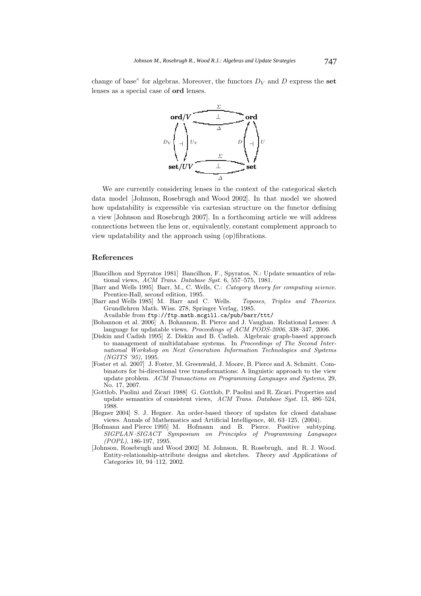change of base" for algebras. Moreover, the functors  $D_V$  and  $D$  express the **set** lenses as a special case of **ord** lenses.



We are currently considering lenses in the context of the categorical sketch data model [Johnson, Rosebrugh and Wood 2002]. In that model we showed how updatability is expressible via cartesian structure on the functor defining a view [Johnson and Rosebrugh 2007]. In a forthcoming article we will address connections between the lens or, equivalently, constant complement approach to view updatability and the approach using (op)fibrations.

#### **References**

- [Bancilhon and Spyratos 1981] Bancilhon, F., Spyratos, N.: Update semantics of relational views, *ACM Trans. Database Syst.* 6, 557–575, 1981.
- [Barr and Wells 1995] Barr, M., C. Wells, C.: *Category theory for computing science*. Prentice-Hall, second edition, 1995.
- [Barr and Wells 1985] M. Barr and C. Wells. *Toposes, Triples and Theories*. Grundlehren Math. Wiss. 278, Springer Verlag, 1985.
	- Available from ftp://ftp.math.mcgill.ca/pub/barr/ttt/
- [Bohannon et al. 2006] A. Bohannon, B. Pierce and J. Vaughan. Relational Lenses: A language for updatable views. *Proceedings of ACM PODS-2006*, 338–347, 2006.
- [Diskin and Cadish 1995] Z. Diskin and B. Cadish. Algebraic graph-based approach to management of multidatabase systems. In *Proceedings of The Second International Workshop on Next Generation Information Technologies and Systems (NGITS '95)*, 1995.
- [Foster et al. 2007] J. Foster, M. Greenwald, J. Moore, B. Pierce and A. Schmitt. Combinators for bi-directional tree transformations: A linguistic approach to the view update problem. *ACM Transactions on Programming Languages and Systems*, 29, No. 17, 2007.
- [Gottlob, Paolini and Zicari 1988] G. Gottlob, P. Paolini and R. Zicari. Properties and update semantics of consistent views, *ACM Trans. Database Syst.* 13, 486–524, 1988.
- [Hegner 2004] S. J. Hegner. An order-based theory of updates for closed database views. Annals of Mathematics and Artificial Intelligence, 40, 63–125, (2004).
- [Hofmann and Pierce 1995] M. Hofmann and B. Pierce. Positive subtyping. *SIGPLAN–SIGACT Symposium on Principles of Programming Languages (POPL)*, 186-197, 1995.
- [Johnson, Rosebrugh and Wood 2002] M. Johnson, R. Rosebrugh, and R. J. Wood. Entity-relationship-attribute designs and sketches. *Theory and Applications of Categories* 10, 94–112, 2002.